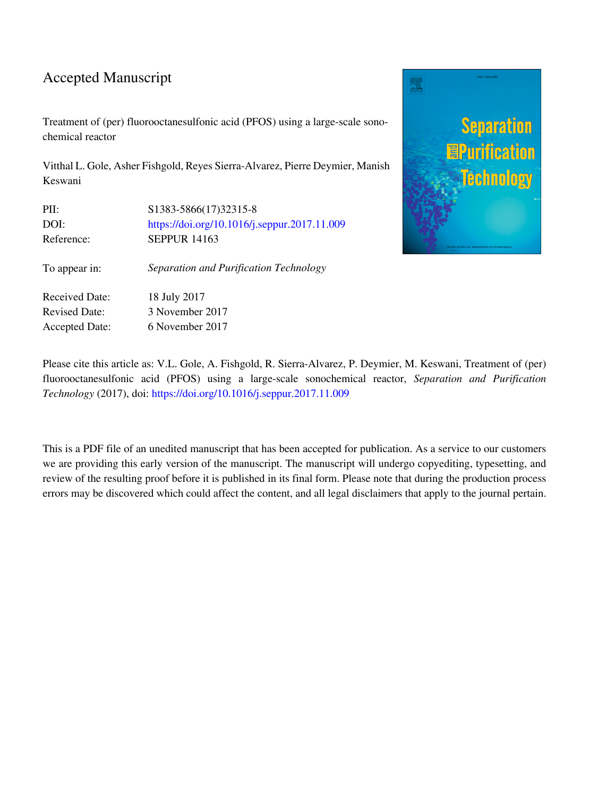#### Accepted Manuscript

Treatment of (per) fluorooctanesulfonic acid (PFOS) using a large-scale sonochemical reactor

Vitthal L. Gole, Asher Fishgold, Reyes Sierra-Alvarez, Pierre Deymier, Manish Keswani

| PII:                  | S1383-5866(17)32315-8                        |  |  |  |
|-----------------------|----------------------------------------------|--|--|--|
| DOI:                  | https://doi.org/10.1016/j.seppur.2017.11.009 |  |  |  |
| Reference:            | <b>SEPPUR 14163</b>                          |  |  |  |
| To appear in:         | Separation and Purification Technology       |  |  |  |
| <b>Received Date:</b> | 18 July 2017                                 |  |  |  |
| <b>Revised Date:</b>  | 3 November 2017                              |  |  |  |
| <b>Accepted Date:</b> | 6 November 2017                              |  |  |  |
|                       |                                              |  |  |  |



Please cite this article as: V.L. Gole, A. Fishgold, R. Sierra-Alvarez, P. Deymier, M. Keswani, Treatment of (per) fluorooctanesulfonic acid (PFOS) using a large-scale sonochemical reactor, *Separation and Purification Technology* (2017), doi:<https://doi.org/10.1016/j.seppur.2017.11.009>

This is a PDF file of an unedited manuscript that has been accepted for publication. As a service to our customers we are providing this early version of the manuscript. The manuscript will undergo copyediting, typesetting, and review of the resulting proof before it is published in its final form. Please note that during the production process errors may be discovered which could affect the content, and all legal disclaimers that apply to the journal pertain.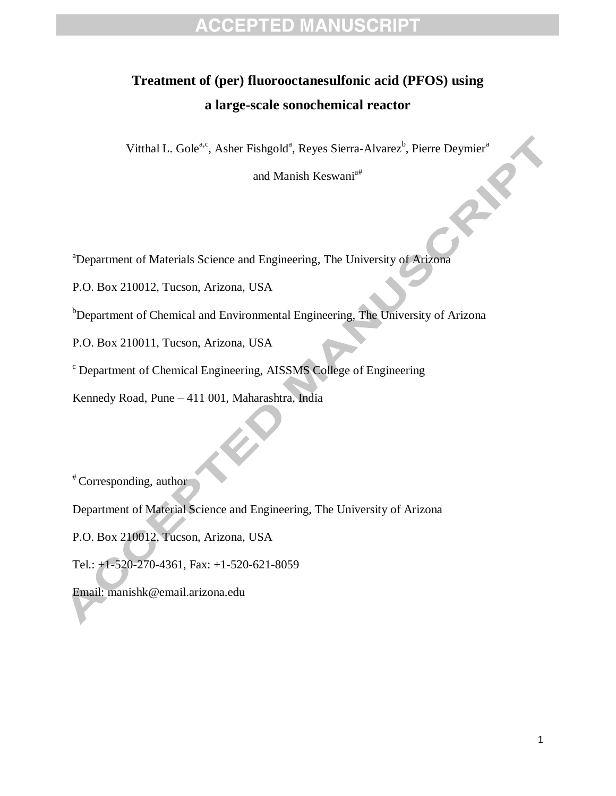# **Treatment of (per) fluorooctanesulfonic acid (PFOS) using a large-scale sonochemical reactor**

Vitthal L. Gole<sup>a,c</sup>, Asher Fishgold<sup>a</sup>, Reyes Sierra-Alvarez<sup>b</sup>, Pierre Deymier<sup>a</sup>

and Manish Keswani<sup>a#</sup>

<sup>a</sup>Department of Materials Science and Engineering, The University of Arizona

P.O. Box 210012, Tucson, Arizona, USA

b<sub>Department of Chemical and Environmental Engineering, The University of Arizona</sub>

P.O. Box 210011, Tucson, Arizona, USA

<sup>c</sup> Department of Chemical Engineering, AISSMS College of Engineering

Kennedy Road, Pune – 411 001, Maharashtra, India

# Corresponding, author

Department of Material Science and Engineering, The University of Arizona

P.O. Box 210012, Tucson, Arizona, USA

Tel.: +1-520-270-4361, Fax: +1-520-621-8059

Email: manishk@email.arizona.edu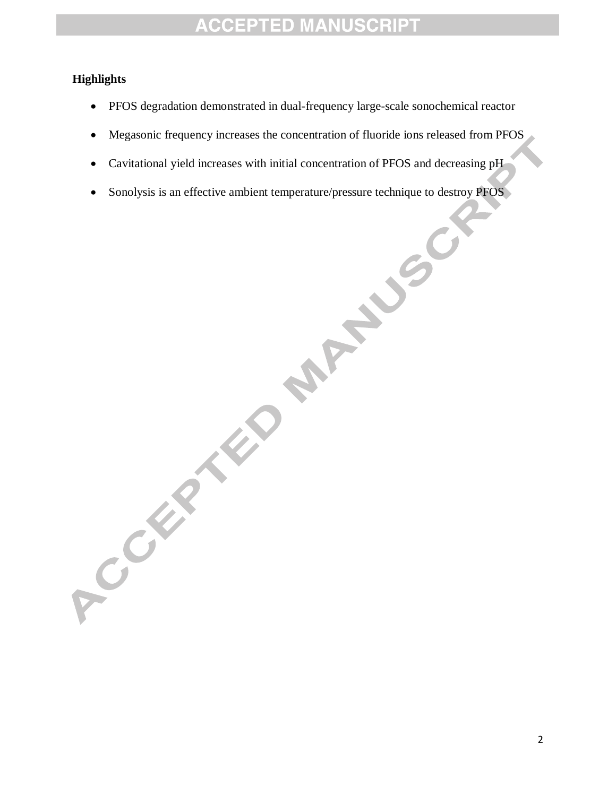#### **Highlights**

- PFOS degradation demonstrated in dual-frequency large-scale sonochemical reactor
- Megasonic frequency increases the concentration of fluoride ions released from PFOS
- Cavitational yield increases with initial concentration of PFOS and decreasing pH
- 

Sonolysis is an effective ambient temperature/pressure technique to destroy PFOS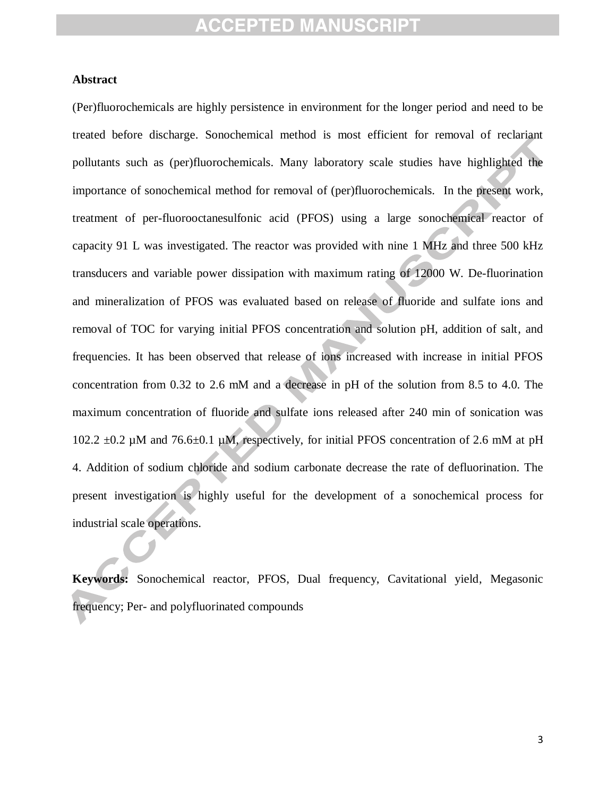#### **Abstract**

(Per)fluorochemicals are highly persistence in environment for the longer period and need to be treated before discharge. Sonochemical method is most efficient for removal of reclariant pollutants such as (per)fluorochemicals. Many laboratory scale studies have highlighted the importance of sonochemical method for removal of (per)fluorochemicals. In the present work, treatment of per-fluorooctanesulfonic acid (PFOS) using a large sonochemical reactor of capacity 91 L was investigated. The reactor was provided with nine 1 MHz and three 500 kHz transducers and variable power dissipation with maximum rating of 12000 W. De-fluorination and mineralization of PFOS was evaluated based on release of fluoride and sulfate ions and removal of TOC for varying initial PFOS concentration and solution pH, addition of salt, and frequencies. It has been observed that release of ions increased with increase in initial PFOS concentration from 0.32 to 2.6 mM and a decrease in pH of the solution from 8.5 to 4.0. The maximum concentration of fluoride and sulfate ions released after 240 min of sonication was 102.2  $\pm$ 0.2 µM and 76.6 $\pm$ 0.1 µM, respectively, for initial PFOS concentration of 2.6 mM at pH 4. Addition of sodium chloride and sodium carbonate decrease the rate of defluorination. The present investigation is highly useful for the development of a sonochemical process for industrial scale operations.

**Keywords:** Sonochemical reactor, PFOS, Dual frequency, Cavitational yield, Megasonic frequency; Per- and polyfluorinated compounds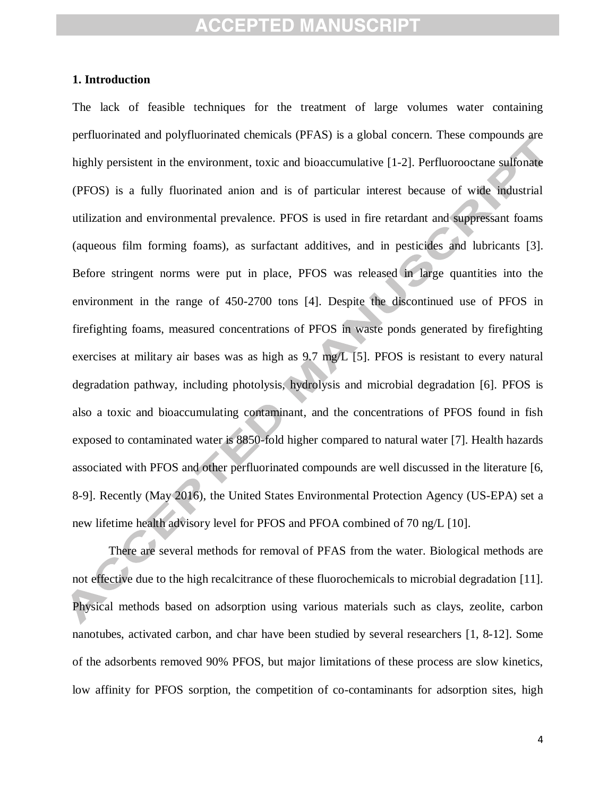#### **1. Introduction**

The lack of feasible techniques for the treatment of large volumes water containing perfluorinated and polyfluorinated chemicals (PFAS) is a global concern. These compounds are highly persistent in the environment, toxic and bioaccumulative [1-2]. Perfluorooctane sulfonate (PFOS) is a fully fluorinated anion and is of particular interest because of wide industrial utilization and environmental prevalence. PFOS is used in fire retardant and suppressant foams (aqueous film forming foams), as surfactant additives, and in pesticides and lubricants [3]. Before stringent norms were put in place, PFOS was released in large quantities into the environment in the range of 450-2700 tons [4]. Despite the discontinued use of PFOS in firefighting foams, measured concentrations of PFOS in waste ponds generated by firefighting exercises at military air bases was as high as 9.7 mg/L [5]. PFOS is resistant to every natural degradation pathway, including photolysis, hydrolysis and microbial degradation [6]. PFOS is also a toxic and bioaccumulating contaminant, and the concentrations of PFOS found in fish exposed to contaminated water is 8850-fold higher compared to natural water [7]. Health hazards associated with PFOS and other perfluorinated compounds are well discussed in the literature [6, 8-9]. Recently (May 2016), the United States Environmental Protection Agency (US-EPA) set a new lifetime health advisory level for PFOS and PFOA combined of 70 ng/L [10].

There are several methods for removal of PFAS from the water. Biological methods are not effective due to the high recalcitrance of these fluorochemicals to microbial degradation [11]. Physical methods based on adsorption using various materials such as clays, zeolite, carbon nanotubes, activated carbon, and char have been studied by several researchers [1, 8-12]. Some of the adsorbents removed 90% PFOS, but major limitations of these process are slow kinetics, low affinity for PFOS sorption, the competition of co-contaminants for adsorption sites, high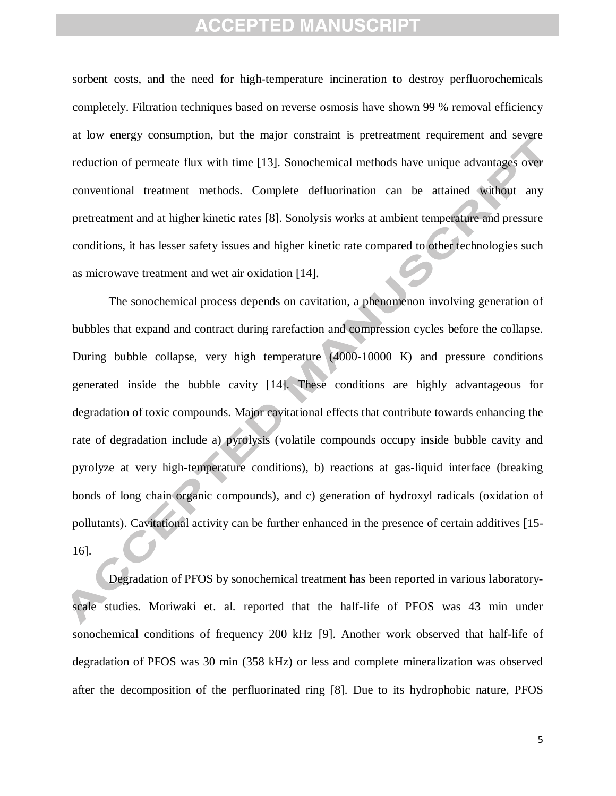sorbent costs, and the need for high-temperature incineration to destroy perfluorochemicals completely. Filtration techniques based on reverse osmosis have shown 99 % removal efficiency at low energy consumption, but the major constraint is pretreatment requirement and severe reduction of permeate flux with time [13]. Sonochemical methods have unique advantages over conventional treatment methods. Complete defluorination can be attained without any pretreatment and at higher kinetic rates [8]. Sonolysis works at ambient temperature and pressure conditions, it has lesser safety issues and higher kinetic rate compared to other technologies such as microwave treatment and wet air oxidation [14].

The sonochemical process depends on cavitation, a phenomenon involving generation of bubbles that expand and contract during rarefaction and compression cycles before the collapse. During bubble collapse, very high temperature (4000-10000 K) and pressure conditions generated inside the bubble cavity [14]. These conditions are highly advantageous for degradation of toxic compounds. Major cavitational effects that contribute towards enhancing the rate of degradation include a) pyrolysis (volatile compounds occupy inside bubble cavity and pyrolyze at very high-temperature conditions), b) reactions at gas-liquid interface (breaking bonds of long chain organic compounds), and c) generation of hydroxyl radicals (oxidation of pollutants). Cavitational activity can be further enhanced in the presence of certain additives [15- 16].

Degradation of PFOS by sonochemical treatment has been reported in various laboratoryscale studies. Moriwaki et. al. reported that the half-life of PFOS was 43 min under sonochemical conditions of frequency 200 kHz [9]. Another work observed that half-life of degradation of PFOS was 30 min (358 kHz) or less and complete mineralization was observed after the decomposition of the perfluorinated ring [8]. Due to its hydrophobic nature, PFOS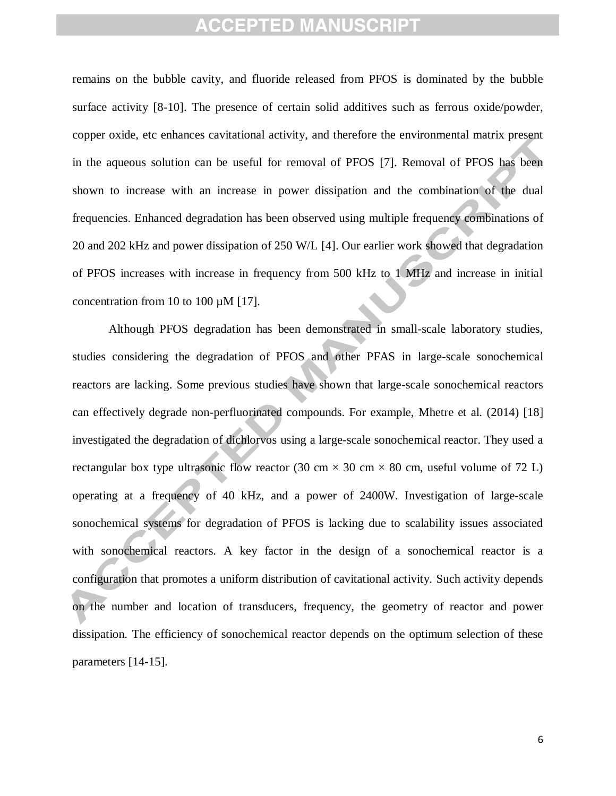remains on the bubble cavity, and fluoride released from PFOS is dominated by the bubble surface activity [8-10]. The presence of certain solid additives such as ferrous oxide/powder, copper oxide, etc enhances cavitational activity, and therefore the environmental matrix present in the aqueous solution can be useful for removal of PFOS [7]. Removal of PFOS has been shown to increase with an increase in power dissipation and the combination of the dual frequencies. Enhanced degradation has been observed using multiple frequency combinations of 20 and 202 kHz and power dissipation of 250 W/L [4]. Our earlier work showed that degradation of PFOS increases with increase in frequency from 500 kHz to 1 MHz and increase in initial concentration from 10 to 100 µM [17].

Although PFOS degradation has been demonstrated in small-scale laboratory studies, studies considering the degradation of PFOS and other PFAS in large-scale sonochemical reactors are lacking. Some previous studies have shown that large-scale sonochemical reactors can effectively degrade non-perfluorinated compounds. For example, Mhetre et al. (2014) [18] investigated the degradation of dichlorvos using a large-scale sonochemical reactor. They used a rectangular box type ultrasonic flow reactor (30 cm  $\times$  30 cm  $\times$  80 cm, useful volume of 72 L) operating at a frequency of 40 kHz, and a power of 2400W. Investigation of large-scale sonochemical systems for degradation of PFOS is lacking due to scalability issues associated with sonochemical reactors. A key factor in the design of a sonochemical reactor is a configuration that promotes a uniform distribution of cavitational activity. Such activity depends on the number and location of transducers, frequency, the geometry of reactor and power dissipation. The efficiency of sonochemical reactor depends on the optimum selection of these parameters [14-15].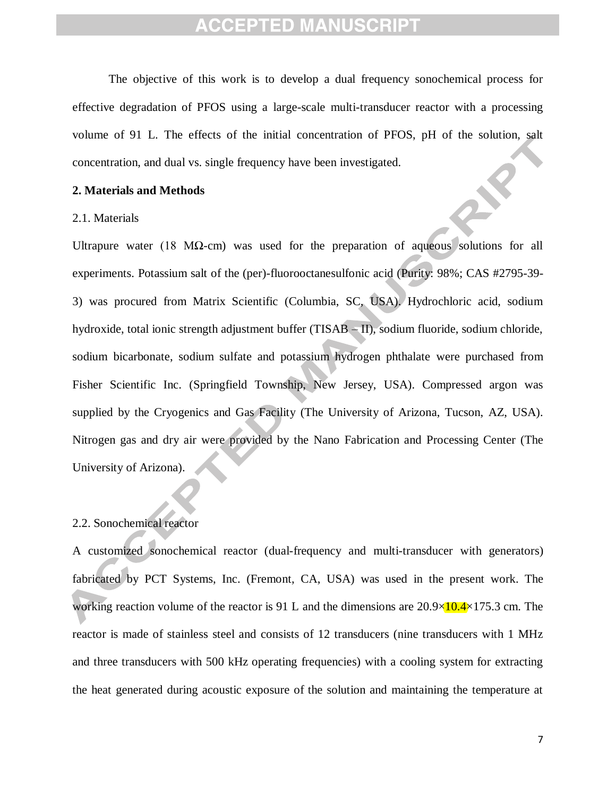The objective of this work is to develop a dual frequency sonochemical process for effective degradation of PFOS using a large-scale multi-transducer reactor with a processing volume of 91 L. The effects of the initial concentration of PFOS, pH of the solution, salt concentration, and dual vs. single frequency have been investigated.

#### **2. Materials and Methods**

#### 2.1. Materials

Ultrapure water (18 M $\Omega$ -cm) was used for the preparation of aqueous solutions for all experiments. Potassium salt of the (per)-fluorooctanesulfonic acid (Purity: 98%; CAS #2795-39- 3) was procured from Matrix Scientific (Columbia, SC, USA). Hydrochloric acid, sodium hydroxide, total ionic strength adjustment buffer (TISAB – II), sodium fluoride, sodium chloride, sodium bicarbonate, sodium sulfate and potassium hydrogen phthalate were purchased from Fisher Scientific Inc. (Springfield Township, New Jersey, USA). Compressed argon was supplied by the Cryogenics and Gas Facility (The University of Arizona, Tucson, AZ, USA). Nitrogen gas and dry air were provided by the Nano Fabrication and Processing Center (The University of Arizona).

#### 2.2. Sonochemical reactor

A customized sonochemical reactor (dual-frequency and multi-transducer with generators) fabricated by PCT Systems, Inc. (Fremont, CA, USA) was used in the present work. The working reaction volume of the reactor is 91 L and the dimensions are  $20.9\times10.4\times175.3$  cm. The reactor is made of stainless steel and consists of 12 transducers (nine transducers with 1 MHz and three transducers with 500 kHz operating frequencies) with a cooling system for extracting the heat generated during acoustic exposure of the solution and maintaining the temperature at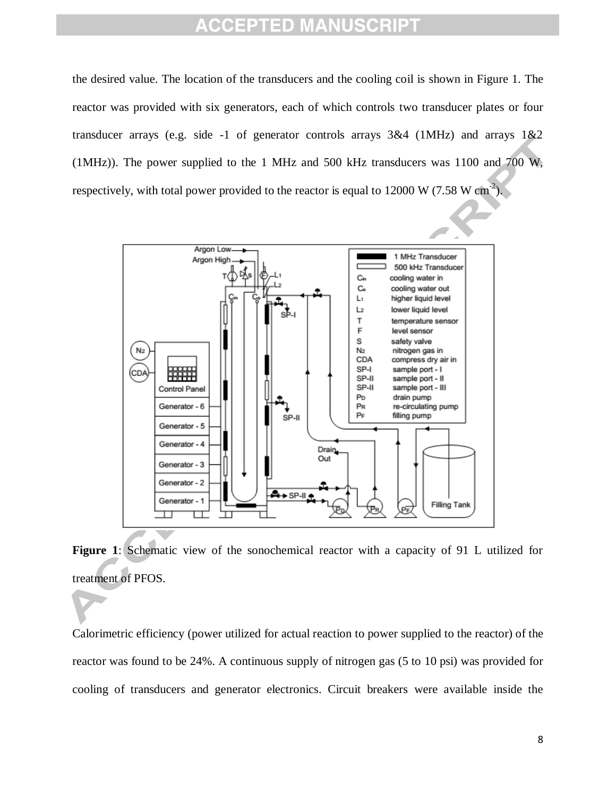the desired value. The location of the transducers and the cooling coil is shown in Figure 1. The reactor was provided with six generators, each of which controls two transducer plates or four transducer arrays (e.g. side -1 of generator controls arrays  $3&4$  (1MHz) and arrays  $1&2$ (1MHz)). The power supplied to the 1 MHz and 500 kHz transducers was 1100 and 700 W, respectively, with total power provided to the reactor is equal to  $12000 \text{ W}$  (7.58 W cm<sup>-2</sup>).



**Figure 1**: Schematic view of the sonochemical reactor with a capacity of 91 L utilized for treatment of PFOS.

Calorimetric efficiency (power utilized for actual reaction to power supplied to the reactor) of the reactor was found to be 24%. A continuous supply of nitrogen gas (5 to 10 psi) was provided for cooling of transducers and generator electronics. Circuit breakers were available inside the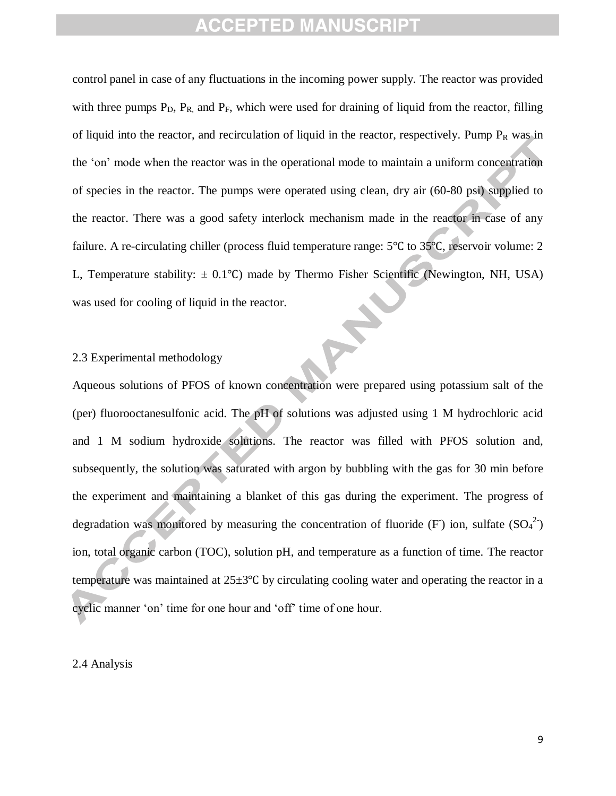control panel in case of any fluctuations in the incoming power supply. The reactor was provided with three pumps  $P_D$ ,  $P_R$ , and  $P_F$ , which were used for draining of liquid from the reactor, filling of liquid into the reactor, and recirculation of liquid in the reactor, respectively. Pump  $P_R$  was in the 'on' mode when the reactor was in the operational mode to maintain a uniform concentration of species in the reactor. The pumps were operated using clean, dry air (60-80 psi) supplied to the reactor. There was a good safety interlock mechanism made in the reactor in case of any failure. A re-circulating chiller (process fluid temperature range:  $5^{\circ}$ C to  $35^{\circ}$ C, reservoir volume: 2 L, Temperature stability:  $\pm$  0.1°C) made by Thermo Fisher Scientific (Newington, NH, USA) was used for cooling of liquid in the reactor.

#### 2.3 Experimental methodology

Aqueous solutions of PFOS of known concentration were prepared using potassium salt of the (per) fluorooctanesulfonic acid. The pH of solutions was adjusted using 1 M hydrochloric acid and 1 M sodium hydroxide solutions. The reactor was filled with PFOS solution and, subsequently, the solution was saturated with argon by bubbling with the gas for 30 min before the experiment and maintaining a blanket of this gas during the experiment. The progress of degradation was monitored by measuring the concentration of fluoride (F) ion, sulfate  $(SO<sub>4</sub><sup>2</sup>)$ ion, total organic carbon (TOC), solution pH, and temperature as a function of time. The reactor temperature was maintained at  $25\pm3$ °C by circulating cooling water and operating the reactor in a cyclic manner 'on' time for one hour and 'off' time of one hour.

#### 2.4 Analysis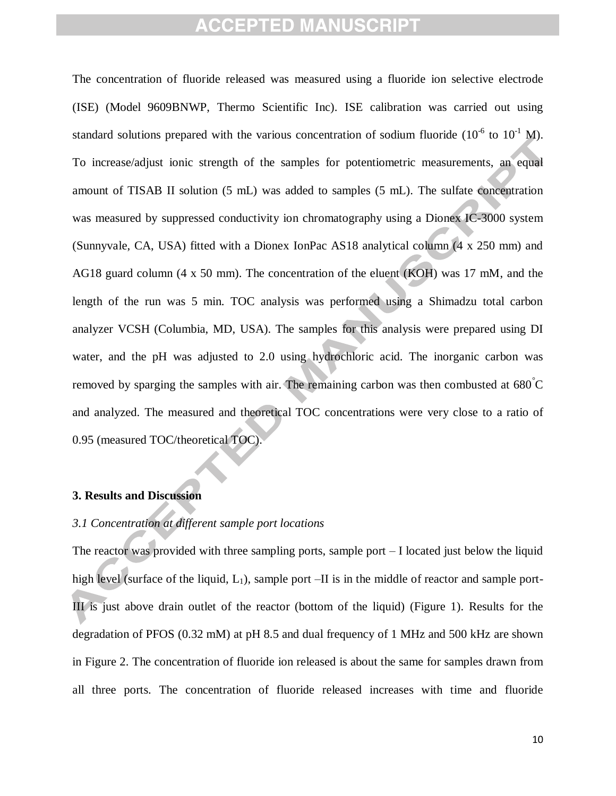The concentration of fluoride released was measured using a fluoride ion selective electrode (ISE) (Model 9609BNWP, Thermo Scientific Inc). ISE calibration was carried out using standard solutions prepared with the various concentration of sodium fluoride  $(10^{-6}$  to  $10^{-1}$  M). To increase/adjust ionic strength of the samples for potentiometric measurements, an equal amount of TISAB II solution (5 mL) was added to samples (5 mL). The sulfate concentration was measured by suppressed conductivity ion chromatography using a Dionex IC-3000 system (Sunnyvale, CA, USA) fitted with a Dionex IonPac AS18 analytical column (4 x 250 mm) and AG18 guard column (4 x 50 mm). The concentration of the eluent (KOH) was 17 mM, and the length of the run was 5 min. TOC analysis was performed using a Shimadzu total carbon analyzer VCSH (Columbia, MD, USA). The samples for this analysis were prepared using DI water, and the pH was adjusted to 2.0 using hydrochloric acid. The inorganic carbon was removed by sparging the samples with air. The remaining carbon was then combusted at 680°C and analyzed. The measured and theoretical TOC concentrations were very close to a ratio of 0.95 (measured TOC/theoretical TOC).

#### **3. Results and Discussion**

#### *3.1 Concentration at different sample port locations*

The reactor was provided with three sampling ports, sample port  $-I$  located just below the liquid high level (surface of the liquid,  $L_1$ ), sample port –II is in the middle of reactor and sample port-III is just above drain outlet of the reactor (bottom of the liquid) (Figure 1). Results for the degradation of PFOS (0.32 mM) at pH 8.5 and dual frequency of 1 MHz and 500 kHz are shown in Figure 2. The concentration of fluoride ion released is about the same for samples drawn from all three ports. The concentration of fluoride released increases with time and fluoride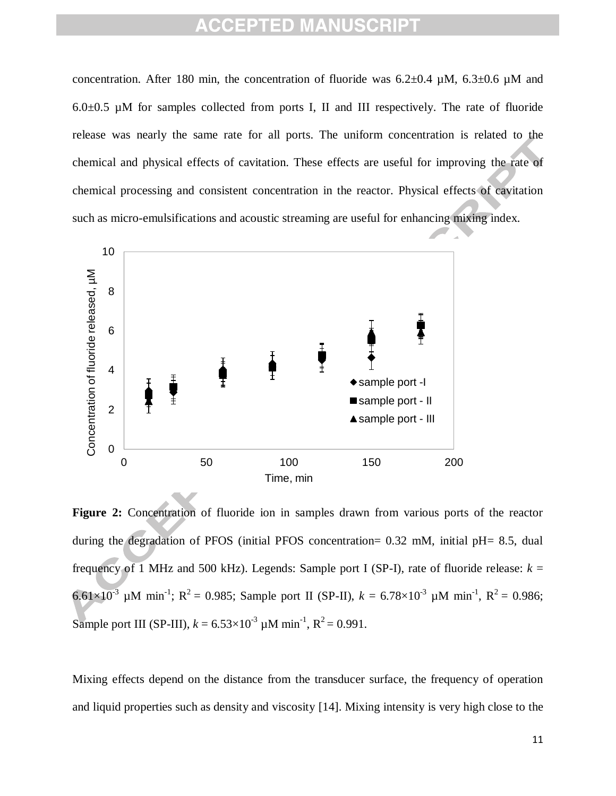concentration. After 180 min, the concentration of fluoride was  $6.2\pm0.4$  µM,  $6.3\pm0.6$  µM and  $6.0\pm0.5$  µM for samples collected from ports I, II and III respectively. The rate of fluoride release was nearly the same rate for all ports. The uniform concentration is related to the chemical and physical effects of cavitation. These effects are useful for improving the rate of chemical processing and consistent concentration in the reactor. Physical effects of cavitation such as micro-emulsifications and acoustic streaming are useful for enhancing mixing index.



**Figure 2:** Concentration of fluoride ion in samples drawn from various ports of the reactor during the degradation of PFOS (initial PFOS concentration= 0.32 mM, initial pH= 8.5, dual frequency of 1 MHz and 500 kHz). Legends: Sample port I (SP-I), rate of fluoride release:  $k =$ 6.61×10<sup>-3</sup> µM min<sup>-1</sup>; R<sup>2</sup> = 0.985; Sample port II (SP-II),  $k = 6.78 \times 10^{-3}$  µM min<sup>-1</sup>, R<sup>2</sup> = 0.986; Sample port III (SP-III),  $k = 6.53 \times 10^{-3}$  µM min<sup>-1</sup>,  $R^2 = 0.991$ .

Mixing effects depend on the distance from the transducer surface, the frequency of operation and liquid properties such as density and viscosity [14]. Mixing intensity is very high close to the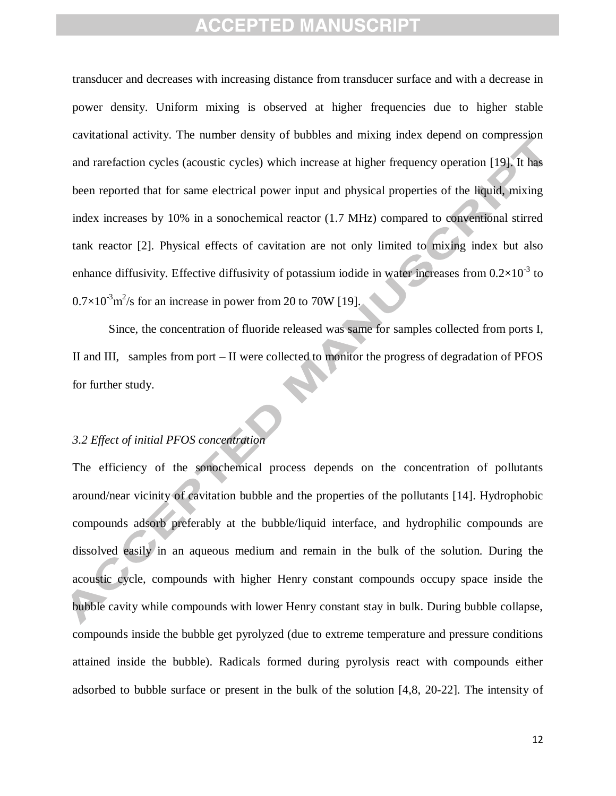transducer and decreases with increasing distance from transducer surface and with a decrease in power density. Uniform mixing is observed at higher frequencies due to higher stable cavitational activity. The number density of bubbles and mixing index depend on compression and rarefaction cycles (acoustic cycles) which increase at higher frequency operation [19]. It has been reported that for same electrical power input and physical properties of the liquid, mixing index increases by 10% in a sonochemical reactor (1.7 MHz) compared to conventional stirred tank reactor [2]. Physical effects of cavitation are not only limited to mixing index but also enhance diffusivity. Effective diffusivity of potassium iodide in water increases from  $0.2\times10^{-3}$  to  $0.7 \times 10^{-3}$  m<sup>2</sup>/s for an increase in power from 20 to 70W [19].

Since, the concentration of fluoride released was same for samples collected from ports I, II and III, samples from port – II were collected to monitor the progress of degradation of PFOS for further study.

#### *3.2 Effect of initial PFOS concentration*

The efficiency of the sonochemical process depends on the concentration of pollutants around/near vicinity of cavitation bubble and the properties of the pollutants [14]. Hydrophobic compounds adsorb preferably at the bubble/liquid interface, and hydrophilic compounds are dissolved easily in an aqueous medium and remain in the bulk of the solution. During the acoustic cycle, compounds with higher Henry constant compounds occupy space inside the bubble cavity while compounds with lower Henry constant stay in bulk. During bubble collapse, compounds inside the bubble get pyrolyzed (due to extreme temperature and pressure conditions attained inside the bubble). Radicals formed during pyrolysis react with compounds either adsorbed to bubble surface or present in the bulk of the solution [4,8, 20-22]. The intensity of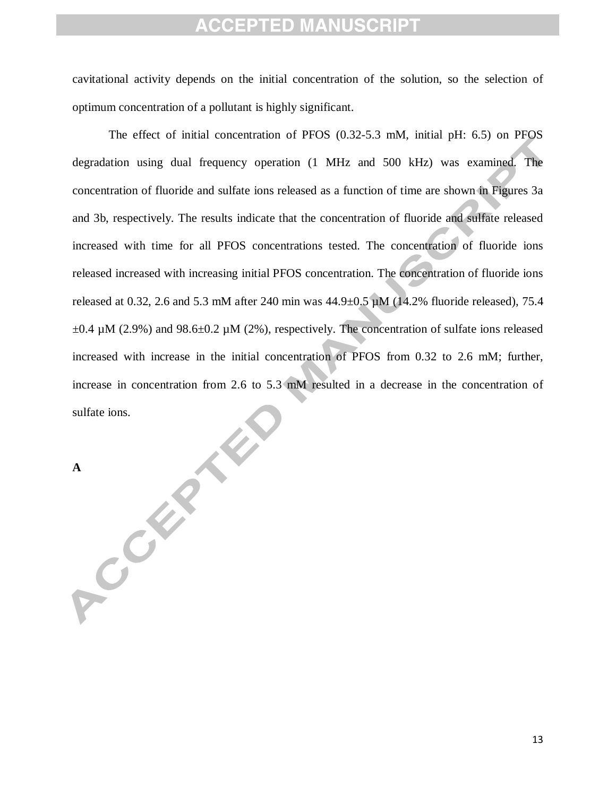cavitational activity depends on the initial concentration of the solution, so the selection of optimum concentration of a pollutant is highly significant.

The effect of initial concentration of PFOS (0.32-5.3 mM, initial pH: 6.5) on PFOS degradation using dual frequency operation (1 MHz and 500 kHz) was examined. The concentration of fluoride and sulfate ions released as a function of time are shown in Figures 3a and 3b, respectively. The results indicate that the concentration of fluoride and sulfate released increased with time for all PFOS concentrations tested. The concentration of fluoride ions released increased with increasing initial PFOS concentration. The concentration of fluoride ions released at 0.32, 2.6 and 5.3 mM after 240 min was  $44.9\pm0.5$   $\mu$ M (14.2% fluoride released), 75.4  $\pm 0.4$  µM (2.9%) and 98.6 $\pm 0.2$  µM (2%), respectively. The concentration of sulfate ions released increased with increase in the initial concentration of PFOS from 0.32 to 2.6 mM; further, increase in concentration from 2.6 to 5.3 mM resulted in a decrease in the concentration of sulfate ions.

**A** Contract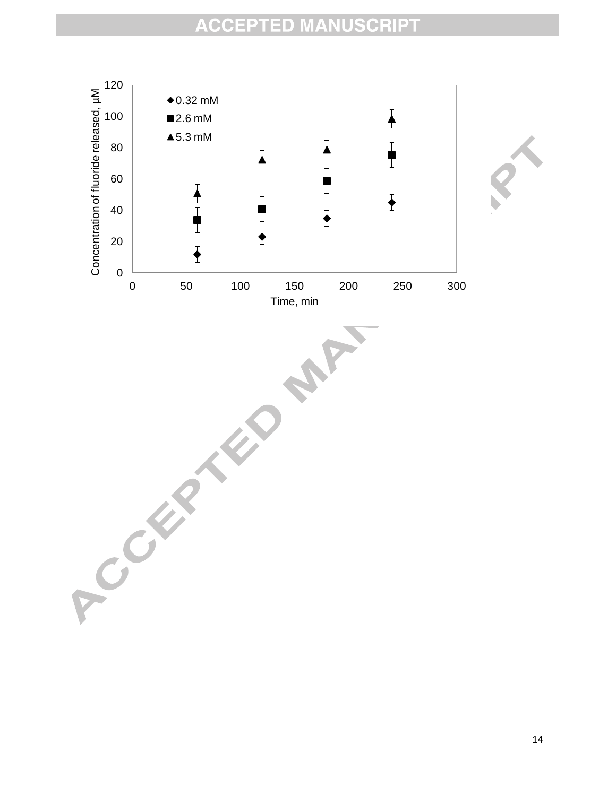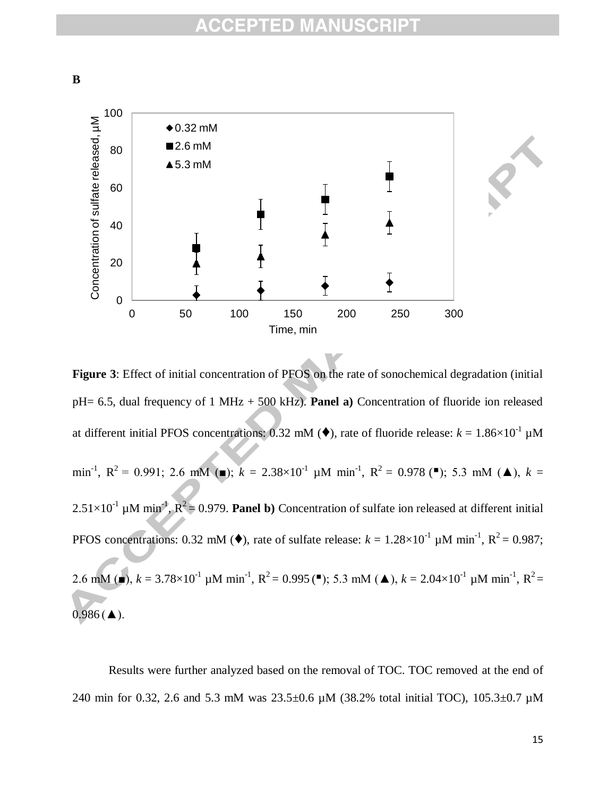**B**



**Figure 3**: Effect of initial concentration of PFOS on the rate of sonochemical degradation (initial pH= 6.5, dual frequency of 1 MHz + 500 kHz). **Panel a)** Concentration of fluoride ion released at different initial PFOS concentrations: 0.32 mM ( $\blacklozenge$ ), rate of fluoride release:  $k = 1.86 \times 10^{-1} \mu M$ min<sup>-1</sup>,  $R^2 = 0.991$ ; 2.6 mM (■);  $k = 2.38 \times 10^{-1}$   $\mu$ M min<sup>-1</sup>,  $R^2 = 0.978$  (■); 5.3 mM (▲),  $k =$  $2.51 \times 10^{-1}$  µM min<sup>-1</sup>,  $R^2 = 0.979$ . **Panel b**) Concentration of sulfate ion released at different initial PFOS concentrations: 0.32 mM ( $\blacklozenge$ ), rate of sulfate release:  $k = 1.28 \times 10^{-1} \mu \text{M min}^{-1}$ ,  $R^2 = 0.987$ ; 2.6 mM ( $\bullet$ ),  $k = 3.78 \times 10^{-1} \mu M \text{ min}^{-1}$ ,  $R^2 = 0.995$  ( $\bullet$ ); 5.3 mM ( $\bullet$ ),  $k = 2.04 \times 10^{-1} \mu M \text{ min}^{-1}$ ,  $R^2 =$  $0.986$  ( $\triangle$ ).

Results were further analyzed based on the removal of TOC. TOC removed at the end of 240 min for 0.32, 2.6 and 5.3 mM was 23.5±0.6 µM (38.2% total initial TOC), 105.3±0.7 µM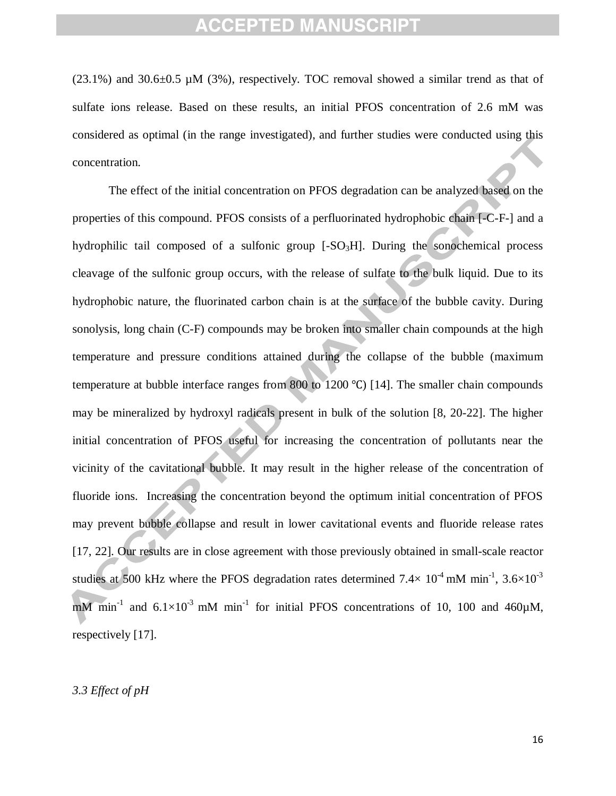$(23.1\%)$  and  $30.6\pm0.5$  µM  $(3\%)$ , respectively. TOC removal showed a similar trend as that of sulfate ions release. Based on these results, an initial PFOS concentration of 2.6 mM was considered as optimal (in the range investigated), and further studies were conducted using this concentration.

The effect of the initial concentration on PFOS degradation can be analyzed based on the properties of this compound. PFOS consists of a perfluorinated hydrophobic chain [-C-F-] and a hydrophilic tail composed of a sulfonic group  $[-SO<sub>3</sub>H]$ . During the sonochemical process cleavage of the sulfonic group occurs, with the release of sulfate to the bulk liquid. Due to its hydrophobic nature, the fluorinated carbon chain is at the surface of the bubble cavity. During sonolysis, long chain (C-F) compounds may be broken into smaller chain compounds at the high temperature and pressure conditions attained during the collapse of the bubble (maximum temperature at bubble interface ranges from 800 to 1200  $\degree$ C) [14]. The smaller chain compounds may be mineralized by hydroxyl radicals present in bulk of the solution [8, 20-22]. The higher initial concentration of PFOS useful for increasing the concentration of pollutants near the vicinity of the cavitational bubble. It may result in the higher release of the concentration of fluoride ions. Increasing the concentration beyond the optimum initial concentration of PFOS may prevent bubble collapse and result in lower cavitational events and fluoride release rates [17, 22]. Our results are in close agreement with those previously obtained in small-scale reactor studies at 500 kHz where the PFOS degradation rates determined  $7.4\times10^4$  mM min<sup>-1</sup>,  $3.6\times10^3$ mM min<sup>-1</sup> and  $6.1 \times 10^{-3}$  mM min<sup>-1</sup> for initial PFOS concentrations of 10, 100 and 460 $\mu$ M, respectively [17].

#### *3.3 Effect of pH*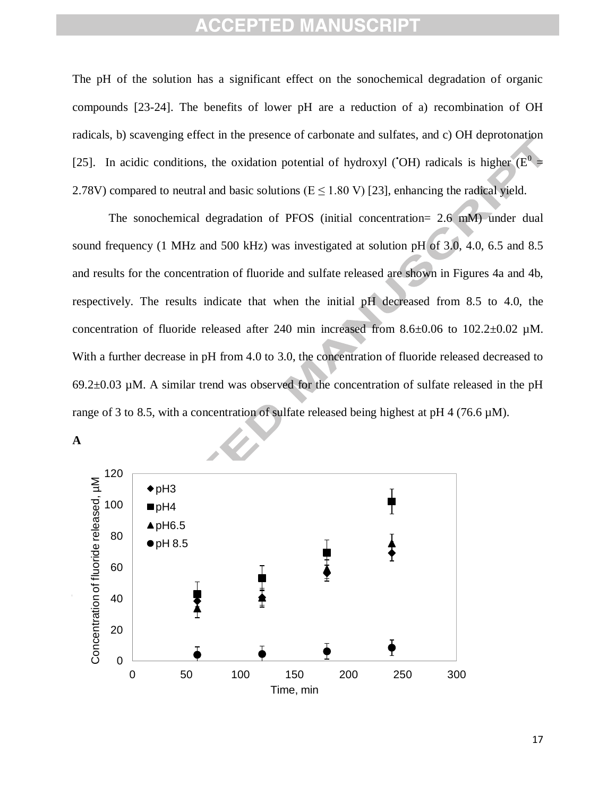The pH of the solution has a significant effect on the sonochemical degradation of organic compounds [23-24]. The benefits of lower pH are a reduction of a) recombination of OH radicals, b) scavenging effect in the presence of carbonate and sulfates, and c) OH deprotonation [25]. In acidic conditions, the oxidation potential of hydroxyl ('OH) radicals is higher ( $E^0 =$ 2.78V) compared to neutral and basic solutions ( $E \le 1.80$  V) [23], enhancing the radical yield.

The sonochemical degradation of PFOS (initial concentration= 2.6 mM) under dual sound frequency (1 MHz and 500 kHz) was investigated at solution pH of 3.0, 4.0, 6.5 and 8.5 and results for the concentration of fluoride and sulfate released are shown in Figures 4a and 4b, respectively. The results indicate that when the initial pH decreased from 8.5 to 4.0, the concentration of fluoride released after 240 min increased from 8.6±0.06 to 102.2±0.02 µM. With a further decrease in pH from 4.0 to 3.0, the concentration of fluoride released decreased to 69.2 $\pm$ 0.03 µM. A similar trend was observed for the concentration of sulfate released in the pH range of 3 to 8.5, with a concentration of sulfate released being highest at pH 4 (76.6 µM).



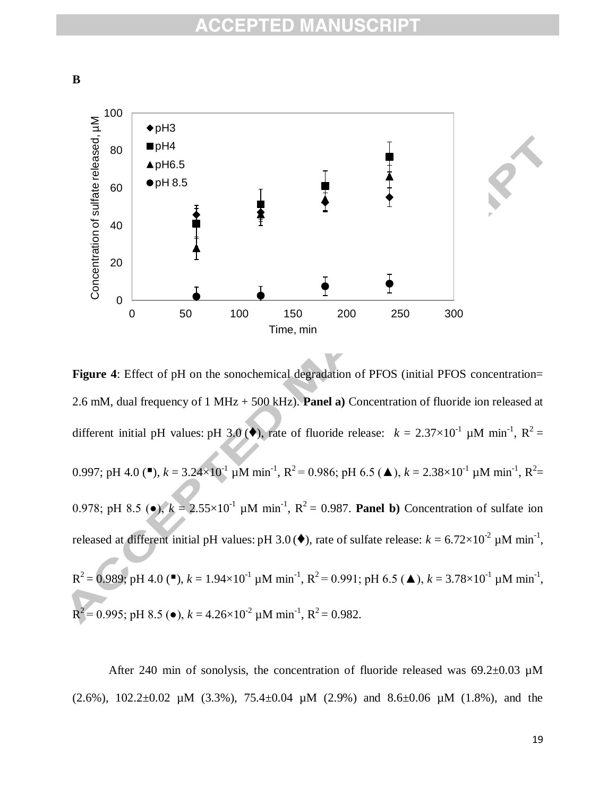**B**



**Figure 4**: Effect of pH on the sonochemical degradation of PFOS (initial PFOS concentration= 2.6 mM, dual frequency of 1 MHz + 500 kHz). **Panel a)** Concentration of fluoride ion released at different initial pH values: pH 3.0( $\blacklozenge$ ), rate of fluoride release:  $k = 2.37 \times 10^{-1} \mu M \text{ min}^{-1}$ ,  $R^2 =$ 0.997; pH 4.0 ( $\blacksquare$ ),  $k = 3.24 \times 10^{-1}$  µM min<sup>-1</sup>, R<sup>2</sup> = 0.986; pH 6.5 ( $\blacktriangle$ ),  $k = 2.38 \times 10^{-1}$  µM min<sup>-1</sup>, R<sup>2</sup> = 0.978; pH 8.5 ( $\bullet$ ),  $k = 2.55 \times 10^{-1}$  µM min<sup>-1</sup>, R<sup>2</sup> = 0.987. **Panel b**) Concentration of sulfate ion released at different initial pH values: pH 3.0 ( $\blacklozenge$ ), rate of sulfate release:  $k = 6.72 \times 10^{-2} \mu M \text{ min}^{-1}$ ,  $R^2 = 0.989$ ; pH 4.0 (\*),  $k = 1.94 \times 10^{-1}$   $\mu$ M min<sup>-1</sup>,  $R^2 = 0.991$ ; pH 6.5 ( $\blacktriangle$ ),  $k = 3.78 \times 10^{-1}$   $\mu$ M min<sup>-1</sup>, R  $^{2}$  = 0.995; pH 8.5 ( $\bullet$ ),  $k = 4.26 \times 10^{-2}$   $\mu$ M min<sup>-1</sup>, R<sup>2</sup> = 0.982.

After 240 min of sonolysis, the concentration of fluoride released was  $69.2\pm0.03$  µM (2.6%),  $102.2 \pm 0.02$  µM (3.3%),  $75.4 \pm 0.04$  µM (2.9%) and  $8.6 \pm 0.06$  µM (1.8%), and the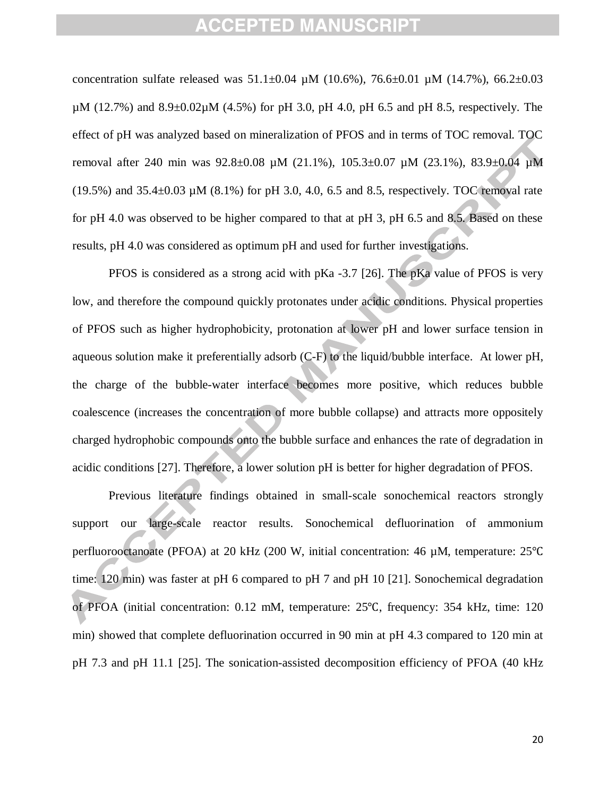concentration sulfate released was  $51.1\pm0.04$  µM (10.6%), 76.6 $\pm0.01$  µM (14.7%), 66.2 $\pm0.03$  $\mu$ M (12.7%) and 8.9 $\pm$ 0.02 $\mu$ M (4.5%) for pH 3.0, pH 4.0, pH 6.5 and pH 8.5, respectively. The effect of pH was analyzed based on mineralization of PFOS and in terms of TOC removal. TOC removal after 240 min was 92.8±0.08 µM (21.1%), 105.3±0.07 µM (23.1%), 83.9±0.04 µM (19.5%) and  $35.4\pm0.03 \mu M$  (8.1%) for pH 3.0, 4.0, 6.5 and 8.5, respectively. TOC removal rate for pH 4.0 was observed to be higher compared to that at pH 3, pH 6.5 and 8.5. Based on these results, pH 4.0 was considered as optimum pH and used for further investigations.

PFOS is considered as a strong acid with pKa -3.7 [26]. The pKa value of PFOS is very low, and therefore the compound quickly protonates under acidic conditions. Physical properties of PFOS such as higher hydrophobicity, protonation at lower pH and lower surface tension in aqueous solution make it preferentially adsorb (C-F) to the liquid/bubble interface. At lower pH, the charge of the bubble-water interface becomes more positive, which reduces bubble coalescence (increases the concentration of more bubble collapse) and attracts more oppositely charged hydrophobic compounds onto the bubble surface and enhances the rate of degradation in acidic conditions [27]. Therefore, a lower solution pH is better for higher degradation of PFOS.

Previous literature findings obtained in small-scale sonochemical reactors strongly support our large-scale reactor results. Sonochemical defluorination of ammonium perfluorooctanoate (PFOA) at 20 kHz (200 W, initial concentration: 46 µM, temperature: 25°C time: 120 min) was faster at pH 6 compared to pH 7 and pH 10 [21]. Sonochemical degradation of PFOA (initial concentration: 0.12 mM, temperature: 25°C, frequency: 354 kHz, time: 120 min) showed that complete defluorination occurred in 90 min at pH 4.3 compared to 120 min at pH 7.3 and pH 11.1 [25]. The sonication-assisted decomposition efficiency of PFOA (40 kHz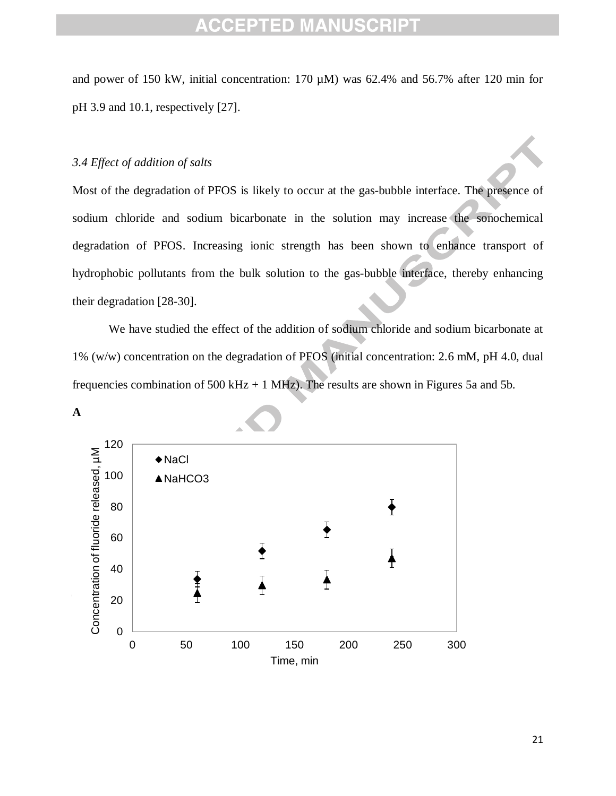and power of 150 kW, initial concentration: 170 µM) was 62.4% and 56.7% after 120 min for pH 3.9 and 10.1, respectively [27].

#### *3.4 Effect of addition of salts*

Most of the degradation of PFOS is likely to occur at the gas-bubble interface. The presence of sodium chloride and sodium bicarbonate in the solution may increase the sonochemical degradation of PFOS. Increasing ionic strength has been shown to enhance transport of hydrophobic pollutants from the bulk solution to the gas-bubble interface, thereby enhancing their degradation [28-30].

We have studied the effect of the addition of sodium chloride and sodium bicarbonate at 1% (w/w) concentration on the degradation of PFOS (initial concentration: 2.6 mM, pH 4.0, dual frequencies combination of  $500 \text{ kHz} + 1 \text{ MHz}$ . The results are shown in Figures 5a and 5b.



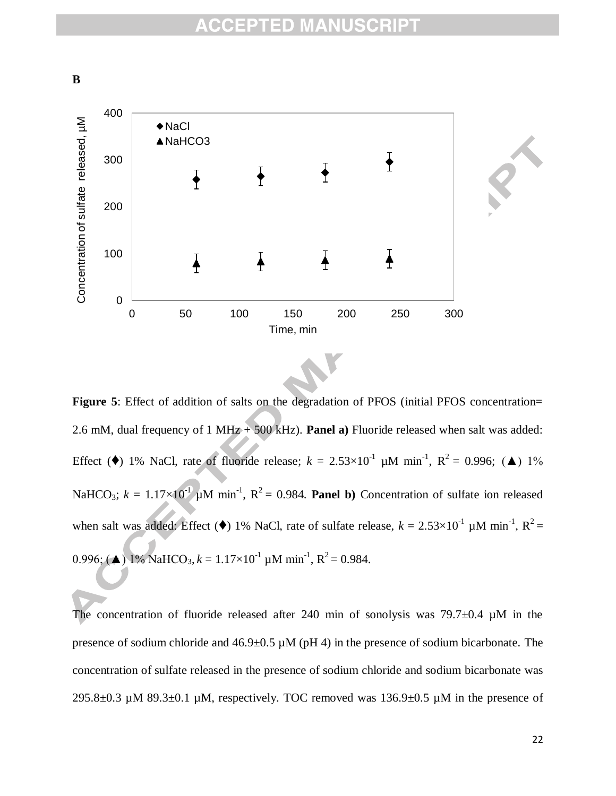

Figure 5: Effect of addition of salts on the degradation of PFOS (initial PFOS concentration= 2.6 mM, dual frequency of 1 MHz + 500 kHz). **Panel a)** Fluoride released when salt was added: Effect ( $\blacklozenge$ ) 1% NaCl, rate of fluoride release;  $k = 2.53 \times 10^{-1}$  µM min<sup>-1</sup>, R<sup>2</sup> = 0.996; ( $\blacktriangle$ ) 1% NaHCO<sub>3</sub>;  $k = 1.17 \times 10^{-1}$   $\mu$ M min<sup>-1</sup>, R<sup>2</sup> = 0.984. **Panel b**) Concentration of sulfate ion released when salt was added: Effect ( $\blacklozenge$ ) 1% NaCl, rate of sulfate release,  $k = 2.53 \times 10^{-1} \mu M \text{ min}^{-1}$ ,  $R^2 =$ 0.996; ( $\triangle$ ) 1% NaHCO<sub>3</sub>,  $k = 1.17 \times 10^{-1}$  µM min<sup>-1</sup>, R<sup>2</sup> = 0.984.

The concentration of fluoride released after 240 min of sonolysis was  $79.7\pm0.4$   $\mu$ M in the presence of sodium chloride and  $46.9 \pm 0.5 \mu M$  (pH 4) in the presence of sodium bicarbonate. The concentration of sulfate released in the presence of sodium chloride and sodium bicarbonate was 295.8 $\pm$ 0.3 µM 89.3 $\pm$ 0.1 µM, respectively. TOC removed was 136.9 $\pm$ 0.5 µM in the presence of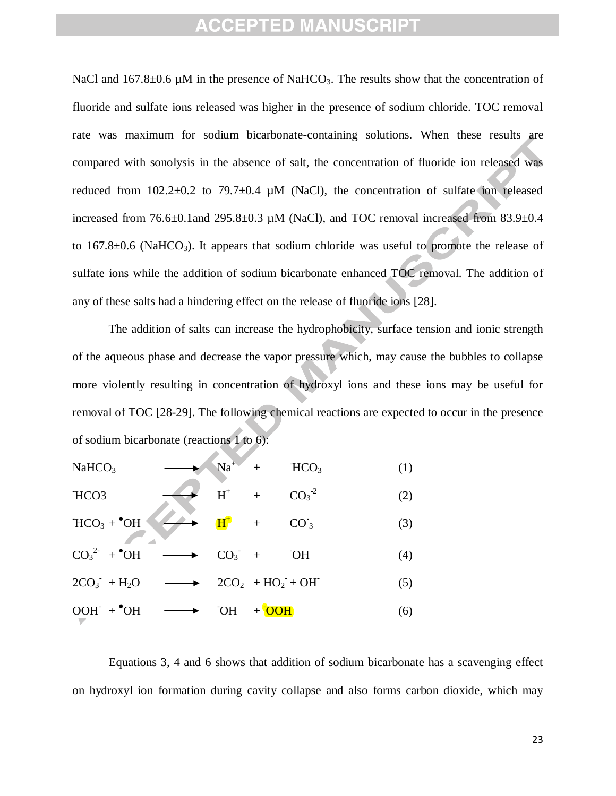NaCl and 167.8 $\pm$ 0.6 µM in the presence of NaHCO<sub>3</sub>. The results show that the concentration of fluoride and sulfate ions released was higher in the presence of sodium chloride. TOC removal rate was maximum for sodium bicarbonate-containing solutions. When these results are compared with sonolysis in the absence of salt, the concentration of fluoride ion released was reduced from  $102.2\pm0.2$  to  $79.7\pm0.4$  µM (NaCl), the concentration of sulfate ion released increased from  $76.6\pm0.1$ and  $295.8\pm0.3$  µM (NaCl), and TOC removal increased from  $83.9\pm0.4$ to  $167.8\pm0.6$  (NaHCO<sub>3</sub>). It appears that sodium chloride was useful to promote the release of sulfate ions while the addition of sodium bicarbonate enhanced TOC removal. The addition of any of these salts had a hindering effect on the release of fluoride ions [28].

The addition of salts can increase the hydrophobicity, surface tension and ionic strength of the aqueous phase and decrease the vapor pressure which, may cause the bubbles to collapse more violently resulting in concentration of hydroxyl ions and these ions may be useful for removal of TOC [28-29]. The following chemical reactions are expected to occur in the presence of sodium bicarbonate (reactions 1 to 6):

| NaHCO <sub>3</sub>                           |                                |                                     | $Na+ + HCO3$ | (1) |
|----------------------------------------------|--------------------------------|-------------------------------------|--------------|-----|
| HCO <sub>3</sub>                             | $H^+$ +                        |                                     | $CO3-2$      | (2) |
| $HCO3 + OH$                                  | $H^+$ + $CO_3^-$               |                                     |              | (3) |
| $\overline{CO_3}^{2-} + \text{^{\bullet}OH}$ |                                | $CO_3$ + OH                         |              | (4) |
| $2CO_3$ + H <sub>2</sub> O $\longrightarrow$ | $2CO_2$ + HO <sub>2</sub> + OH |                                     |              | (5) |
| $OOH$ + $^{\bullet}$ OH                      |                                | $\overline{OOH}$ + $\overline{OOH}$ |              | (6) |

Equations 3, 4 and 6 shows that addition of sodium bicarbonate has a scavenging effect on hydroxyl ion formation during cavity collapse and also forms carbon dioxide, which may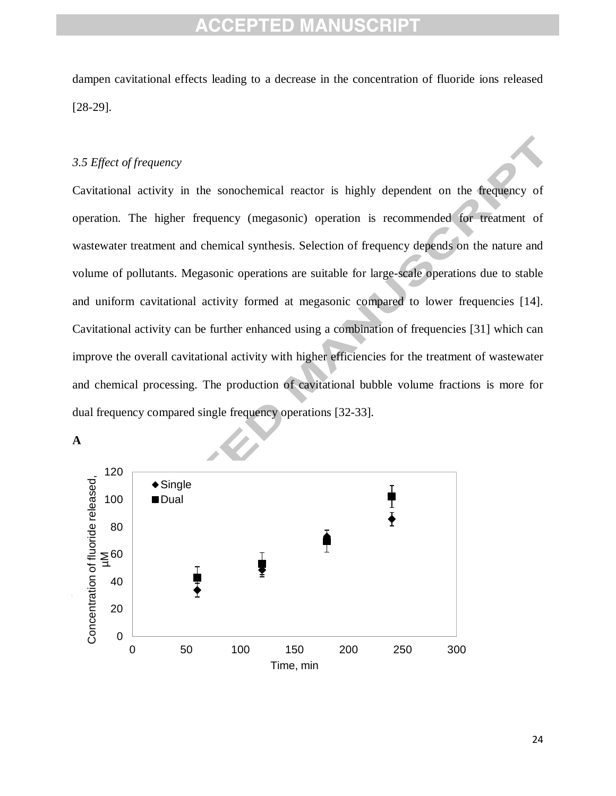dampen cavitational effects leading to a decrease in the concentration of fluoride ions released [28-29].

#### *3.5 Effect of frequency*

Cavitational activity in the sonochemical reactor is highly dependent on the frequency of operation. The higher frequency (megasonic) operation is recommended for treatment of wastewater treatment and chemical synthesis. Selection of frequency depends on the nature and volume of pollutants. Megasonic operations are suitable for large-scale operations due to stable and uniform cavitational activity formed at megasonic compared to lower frequencies [14]. Cavitational activity can be further enhanced using a combination of frequencies [31] which can improve the overall cavitational activity with higher efficiencies for the treatment of wastewater and chemical processing. The production of cavitational bubble volume fractions is more for dual frequency compared single frequency operations [32-33].



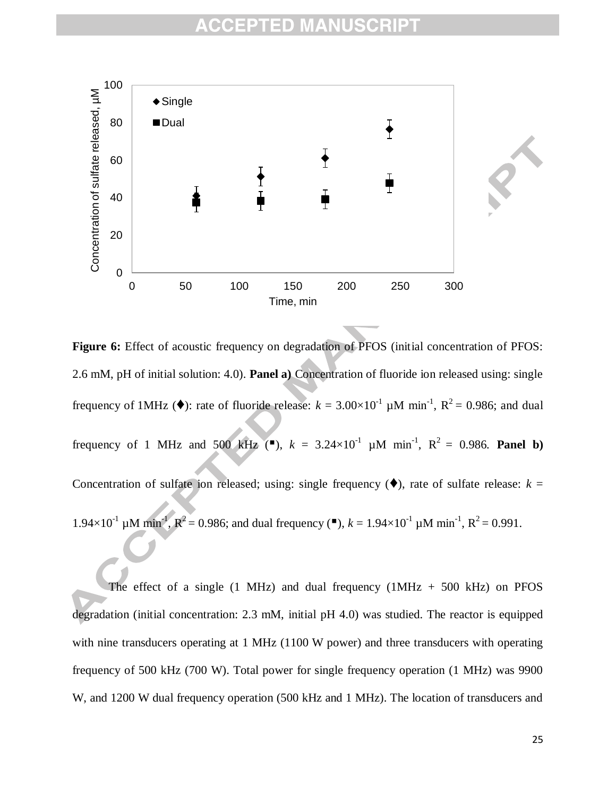

**Figure 6:** Effect of acoustic frequency on degradation of PFOS (initial concentration of PFOS: 2.6 mM, pH of initial solution: 4.0). **Panel a)** Concentration of fluoride ion released using: single frequency of 1MHz ( $\blacklozenge$ ): rate of fluoride release:  $k = 3.00 \times 10^{-1} \mu M \text{ min}^{-1}$ ,  $R^2 = 0.986$ ; and dual frequency of 1 MHz and 500 kHz ("),  $k = 3.24 \times 10^{-1}$   $\mu$ M min<sup>-1</sup>,  $R^2 = 0.986$ . **Panel b**) Concentration of sulfate ion released; using: single frequency  $(\blacklozenge)$ , rate of sulfate release:  $k =$ 1.94×10<sup>-1</sup> μM min<sup>-1</sup>,  $\mathbb{R}^2$  = 0.986; and dual frequency (■), *k* = 1.94×10<sup>-1</sup> μM min<sup>-1</sup>,  $\mathbb{R}^2$  = 0.991.

The effect of a single  $(1 \text{ MHz})$  and dual frequency  $(1 \text{ MHz} + 500 \text{ kHz})$  on PFOS degradation (initial concentration: 2.3 mM, initial pH 4.0) was studied. The reactor is equipped with nine transducers operating at 1 MHz (1100 W power) and three transducers with operating frequency of 500 kHz (700 W). Total power for single frequency operation (1 MHz) was 9900 W, and 1200 W dual frequency operation (500 kHz and 1 MHz). The location of transducers and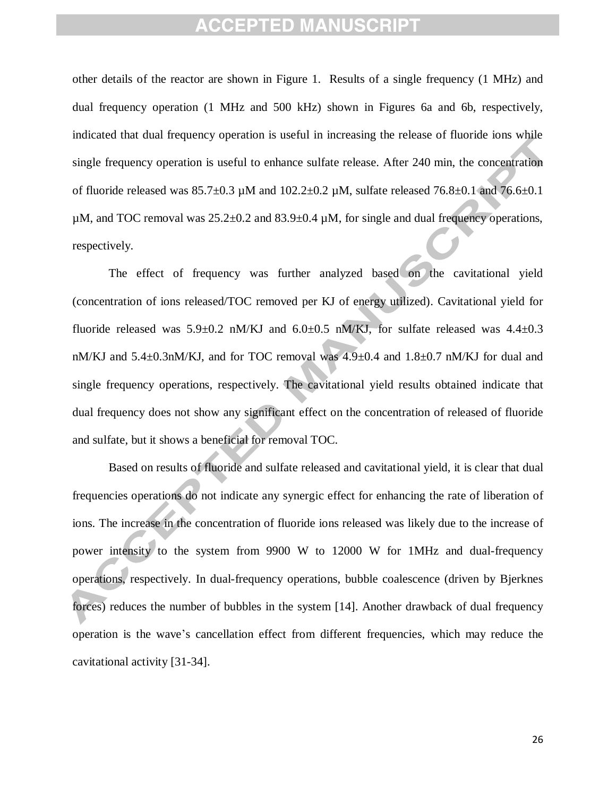other details of the reactor are shown in Figure 1. Results of a single frequency (1 MHz) and dual frequency operation (1 MHz and 500 kHz) shown in Figures 6a and 6b, respectively, indicated that dual frequency operation is useful in increasing the release of fluoride ions while single frequency operation is useful to enhance sulfate release. After 240 min, the concentration of fluoride released was  $85.7\pm0.3$  µM and  $102.2\pm0.2$  µM, sulfate released  $76.8\pm0.1$  and  $76.6\pm0.1$  $\mu$ M, and TOC removal was 25.2 $\pm$ 0.2 and 83.9 $\pm$ 0.4  $\mu$ M, for single and dual frequency operations, respectively.

The effect of frequency was further analyzed based on the cavitational yield (concentration of ions released/TOC removed per KJ of energy utilized). Cavitational yield for fluoride released was  $5.9\pm0.2$  nM/KJ and  $6.0\pm0.5$  nM/KJ, for sulfate released was  $4.4\pm0.3$ nM/KJ and 5.4±0.3nM/KJ, and for TOC removal was 4.9±0.4 and 1.8±0.7 nM/KJ for dual and single frequency operations, respectively. The cavitational yield results obtained indicate that dual frequency does not show any significant effect on the concentration of released of fluoride and sulfate, but it shows a beneficial for removal TOC.

Based on results of fluoride and sulfate released and cavitational yield, it is clear that dual frequencies operations do not indicate any synergic effect for enhancing the rate of liberation of ions. The increase in the concentration of fluoride ions released was likely due to the increase of power intensity to the system from 9900 W to 12000 W for 1MHz and dual-frequency operations, respectively. In dual-frequency operations, bubble coalescence (driven by Bjerknes forces) reduces the number of bubbles in the system [14]. Another drawback of dual frequency operation is the wave's cancellation effect from different frequencies, which may reduce the cavitational activity [31-34].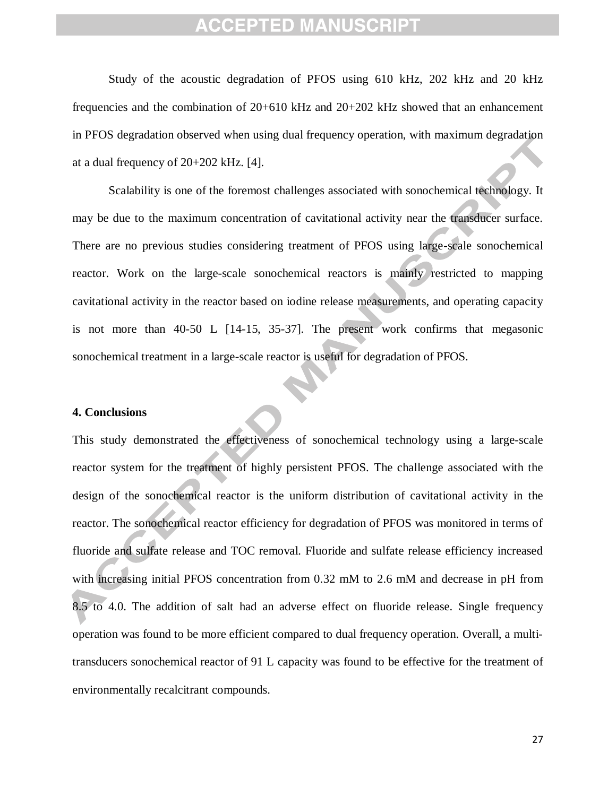Study of the acoustic degradation of PFOS using 610 kHz, 202 kHz and 20 kHz frequencies and the combination of 20+610 kHz and 20+202 kHz showed that an enhancement in PFOS degradation observed when using dual frequency operation, with maximum degradation at a dual frequency of 20+202 kHz. [4].

Scalability is one of the foremost challenges associated with sonochemical technology. It may be due to the maximum concentration of cavitational activity near the transducer surface. There are no previous studies considering treatment of PFOS using large-scale sonochemical reactor. Work on the large-scale sonochemical reactors is mainly restricted to mapping cavitational activity in the reactor based on iodine release measurements, and operating capacity is not more than 40-50 L [14-15, 35-37]. The present work confirms that megasonic sonochemical treatment in a large-scale reactor is useful for degradation of PFOS.

#### **4. Conclusions**

This study demonstrated the effectiveness of sonochemical technology using a large-scale reactor system for the treatment of highly persistent PFOS. The challenge associated with the design of the sonochemical reactor is the uniform distribution of cavitational activity in the reactor. The sonochemical reactor efficiency for degradation of PFOS was monitored in terms of fluoride and sulfate release and TOC removal. Fluoride and sulfate release efficiency increased with increasing initial PFOS concentration from 0.32 mM to 2.6 mM and decrease in pH from 8.5 to 4.0. The addition of salt had an adverse effect on fluoride release. Single frequency operation was found to be more efficient compared to dual frequency operation. Overall, a multitransducers sonochemical reactor of 91 L capacity was found to be effective for the treatment of environmentally recalcitrant compounds.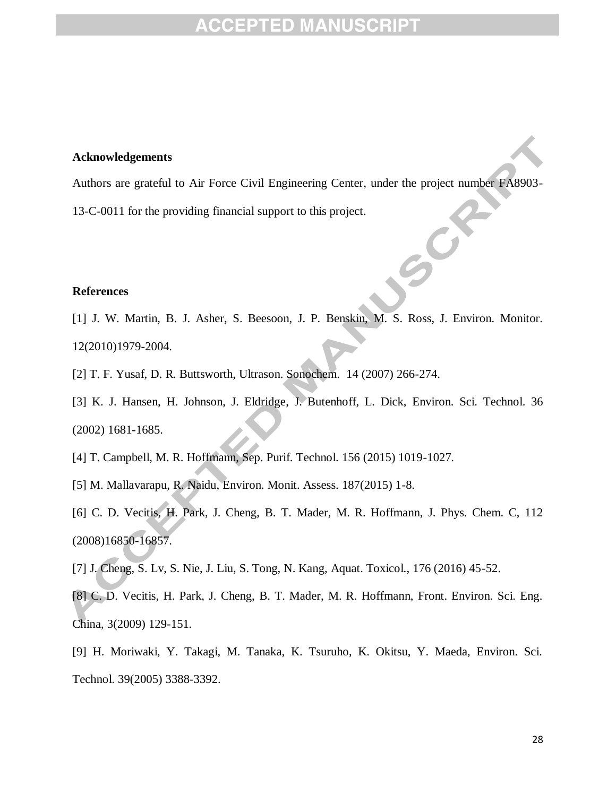#### **Acknowledgements**

Authors are grateful to Air Force Civil Engineering Center, under the project number FA8903- 13-C-0011 for the providing financial support to this project.

#### **References**

- [1] J. W. Martin, B. J. Asher, S. Beesoon, J. P. Benskin, M. S. Ross, J. Environ. Monitor. 12(2010)1979-2004.
- [2] T. F. Yusaf, D. R. Buttsworth, Ultrason. Sonochem. 14 (2007) 266-274.
- [3] K. J. Hansen, H. Johnson, J. Eldridge, J. Butenhoff, L. Dick, Environ. Sci. Technol. 36 (2002) 1681-1685.
- [4] T. Campbell, M. R. Hoffmann, Sep. Purif. Technol. 156 (2015) 1019-1027.
- [5] M. Mallavarapu, R. Naidu, Environ. Monit. Assess. 187(2015) 1-8.
- [6] C. D. Vecitis, H. Park, J. Cheng, B. T. Mader, M. R. Hoffmann, J. Phys. Chem. C, 112 (2008)16850-16857.
- [7] J. Cheng, S. Lv, S. Nie, J. Liu, S. Tong, N. Kang, Aquat. Toxicol., 176 (2016) 45-52.
- [8] C. D. Vecitis, H. Park, J. Cheng, B. T. Mader, M. R. Hoffmann, Front. Environ. Sci. Eng. China, 3(2009) 129-151.
- [9] H. Moriwaki, Y. Takagi, M. Tanaka, K. Tsuruho, K. Okitsu, Y. Maeda, Environ. Sci. Technol. 39(2005) 3388-3392.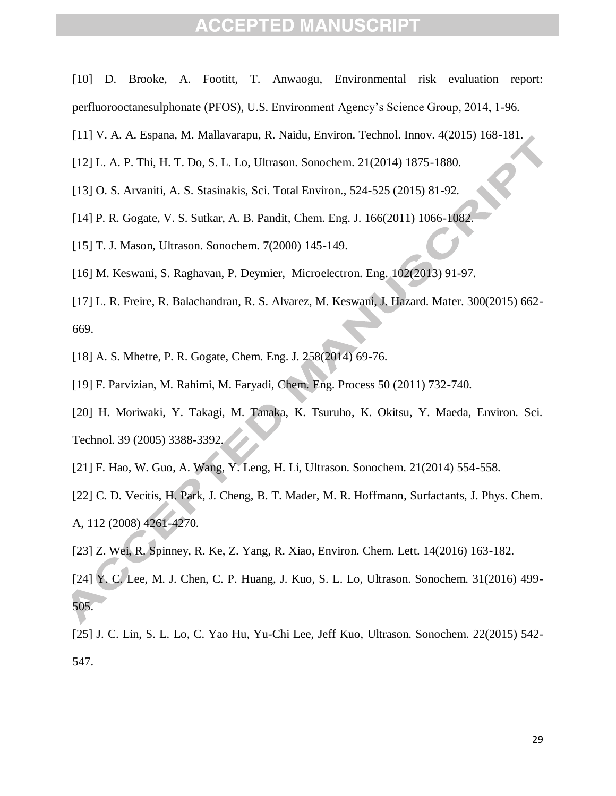- [10] D. Brooke, A. Footitt, T. Anwaogu, Environmental risk evaluation report: perfluorooctanesulphonate (PFOS), U.S. Environment Agency's Science Group, 2014, 1-96.
- [11] V. A. A. Espana, M. Mallavarapu, R. Naidu, Environ. Technol. Innov. 4(2015) 168-181.
- [12] L. A. P. Thi, H. T. Do, S. L. Lo, Ultrason. Sonochem. 21(2014) 1875-1880.
- [13] O. S. Arvaniti, A. S. Stasinakis, Sci. Total Environ., 524-525 (2015) 81-92.
- [14] P. R. Gogate, V. S. Sutkar, A. B. Pandit, Chem. Eng. J. 166(2011) 1066-1082.
- [15] T. J. Mason, Ultrason. Sonochem. 7(2000) 145-149.
- [16] M. Keswani, S. Raghavan, P. Deymier, Microelectron. Eng. 102(2013) 91-97.
- [17] L. R. Freire, R. Balachandran, R. S. Alvarez, M. Keswani, J. Hazard. Mater. 300(2015) 662- 669.
- [18] A. S. Mhetre, P. R. Gogate, Chem. Eng. J. 258(2014) 69-76.
- [19] F. Parvizian, M. Rahimi, M. Faryadi, Chem. Eng. Process 50 (2011) 732-740.
- [20] H. Moriwaki, Y. Takagi, M. Tanaka, K. Tsuruho, K. Okitsu, Y. Maeda, Environ. Sci. Technol. 39 (2005) 3388-3392.
- [21] F. Hao, W. Guo, A. Wang, Y. Leng, H. Li, Ultrason. Sonochem. 21(2014) 554-558.
- [22] C. D. Vecitis, H. Park, J. Cheng, B. T. Mader, M. R. Hoffmann, Surfactants, J. Phys. Chem. A, 112 (2008) 4261-4270.
- [23] Z. Wei, R. Spinney, R. Ke, Z. Yang, R. Xiao, Environ. Chem. Lett. 14(2016) 163-182.
- [24] Y. C. Lee, M. J. Chen, C. P. Huang, J. Kuo, S. L. Lo, Ultrason. Sonochem. 31(2016) 499- 505.
- [25] J. C. Lin, S. L. Lo, C. Yao Hu, Yu-Chi Lee, Jeff Kuo, Ultrason. Sonochem. 22(2015) 542- 547.